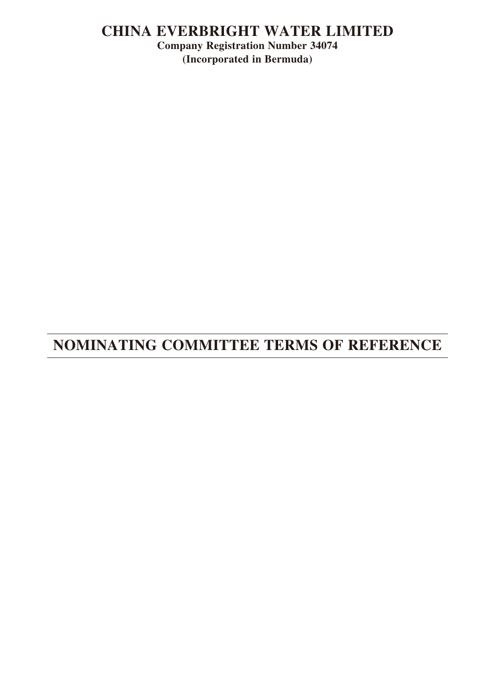# **CHINA EVERBRIGHT WATER LIMITED**

**Company Registration Number 34074 (Incorporated in Bermuda)**

# **NOMINATING COMMITTEE TERMS OF REFERENCE**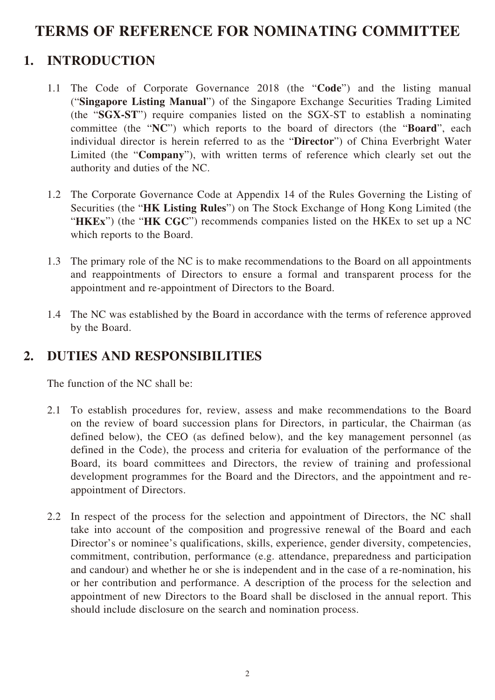# **TERMS OF REFERENCE FOR NOMINATING COMMITTEE**

# **1. INTRODUCTION**

- 1.1 The Code of Corporate Governance 2018 (the "**Code**") and the listing manual ("**Singapore Listing Manual**") of the Singapore Exchange Securities Trading Limited (the "**SGX-ST**") require companies listed on the SGX-ST to establish a nominating committee (the "**NC**") which reports to the board of directors (the "**Board**", each individual director is herein referred to as the "**Director**") of China Everbright Water Limited (the "**Company**"), with written terms of reference which clearly set out the authority and duties of the NC.
- 1.2 The Corporate Governance Code at Appendix 14 of the Rules Governing the Listing of Securities (the "**HK Listing Rules**") on The Stock Exchange of Hong Kong Limited (the "**HKEx**") (the "**HK CGC**") recommends companies listed on the HKEx to set up a NC which reports to the Board.
- 1.3 The primary role of the NC is to make recommendations to the Board on all appointments and reappointments of Directors to ensure a formal and transparent process for the appointment and re-appointment of Directors to the Board.
- 1.4 The NC was established by the Board in accordance with the terms of reference approved by the Board.

### **2. DUTIES AND RESPONSIBILITIES**

The function of the NC shall be:

- 2.1 To establish procedures for, review, assess and make recommendations to the Board on the review of board succession plans for Directors, in particular, the Chairman (as defined below), the CEO (as defined below), and the key management personnel (as defined in the Code), the process and criteria for evaluation of the performance of the Board, its board committees and Directors, the review of training and professional development programmes for the Board and the Directors, and the appointment and reappointment of Directors.
- 2.2 In respect of the process for the selection and appointment of Directors, the NC shall take into account of the composition and progressive renewal of the Board and each Director's or nominee's qualifications, skills, experience, gender diversity, competencies, commitment, contribution, performance (e.g. attendance, preparedness and participation and candour) and whether he or she is independent and in the case of a re-nomination, his or her contribution and performance. A description of the process for the selection and appointment of new Directors to the Board shall be disclosed in the annual report. This should include disclosure on the search and nomination process.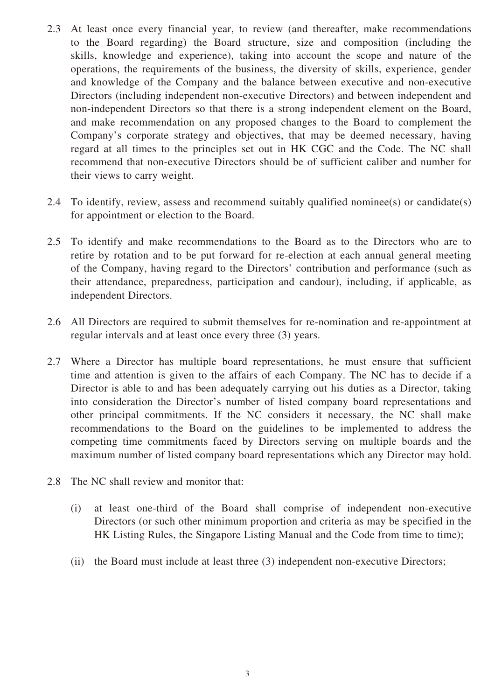- 2.3 At least once every financial year, to review (and thereafter, make recommendations to the Board regarding) the Board structure, size and composition (including the skills, knowledge and experience), taking into account the scope and nature of the operations, the requirements of the business, the diversity of skills, experience, gender and knowledge of the Company and the balance between executive and non-executive Directors (including independent non-executive Directors) and between independent and non-independent Directors so that there is a strong independent element on the Board, and make recommendation on any proposed changes to the Board to complement the Company's corporate strategy and objectives, that may be deemed necessary, having regard at all times to the principles set out in HK CGC and the Code. The NC shall recommend that non-executive Directors should be of sufficient caliber and number for their views to carry weight.
- 2.4 To identify, review, assess and recommend suitably qualified nominee(s) or candidate(s) for appointment or election to the Board.
- 2.5 To identify and make recommendations to the Board as to the Directors who are to retire by rotation and to be put forward for re-election at each annual general meeting of the Company, having regard to the Directors' contribution and performance (such as their attendance, preparedness, participation and candour), including, if applicable, as independent Directors.
- 2.6 All Directors are required to submit themselves for re-nomination and re-appointment at regular intervals and at least once every three (3) years.
- 2.7 Where a Director has multiple board representations, he must ensure that sufficient time and attention is given to the affairs of each Company. The NC has to decide if a Director is able to and has been adequately carrying out his duties as a Director, taking into consideration the Director's number of listed company board representations and other principal commitments. If the NC considers it necessary, the NC shall make recommendations to the Board on the guidelines to be implemented to address the competing time commitments faced by Directors serving on multiple boards and the maximum number of listed company board representations which any Director may hold.
- 2.8 The NC shall review and monitor that:
	- (i) at least one-third of the Board shall comprise of independent non-executive Directors (or such other minimum proportion and criteria as may be specified in the HK Listing Rules, the Singapore Listing Manual and the Code from time to time);
	- (ii) the Board must include at least three (3) independent non-executive Directors;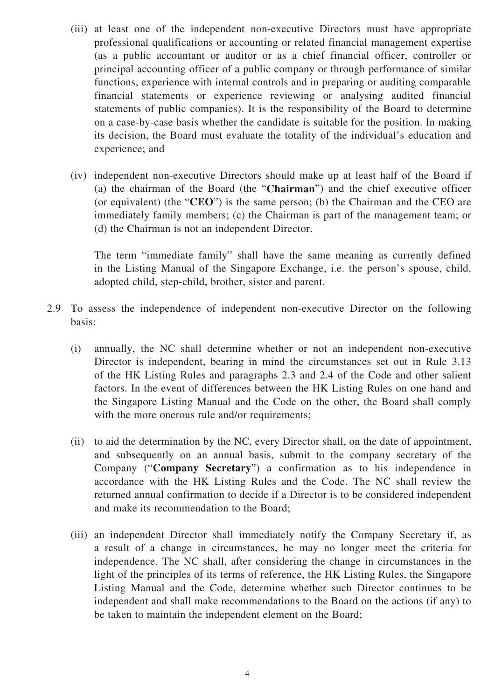- (iii) at least one of the independent non-executive Directors must have appropriate professional qualifications or accounting or related financial management expertise (as a public accountant or auditor or as a chief financial officer, controller or principal accounting officer of a public company or through performance of similar functions, experience with internal controls and in preparing or auditing comparable financial statements or experience reviewing or analysing audited financial statements of public companies). It is the responsibility of the Board to determine on a case-by-case basis whether the candidate is suitable for the position. In making its decision, the Board must evaluate the totality of the individual's education and experience; and
- (iv) independent non-executive Directors should make up at least half of the Board if (a) the chairman of the Board (the "**Chairman**") and the chief executive officer (or equivalent) (the "**CEO**") is the same person; (b) the Chairman and the CEO are immediately family members; (c) the Chairman is part of the management team; or (d) the Chairman is not an independent Director.

The term "immediate family" shall have the same meaning as currently defined in the Listing Manual of the Singapore Exchange, i.e. the person's spouse, child, adopted child, step-child, brother, sister and parent.

- 2.9 To assess the independence of independent non-executive Director on the following basis:
	- (i) annually, the NC shall determine whether or not an independent non-executive Director is independent, bearing in mind the circumstances set out in Rule 3.13 of the HK Listing Rules and paragraphs 2.3 and 2.4 of the Code and other salient factors. In the event of differences between the HK Listing Rules on one hand and the Singapore Listing Manual and the Code on the other, the Board shall comply with the more onerous rule and/or requirements;
	- (ii) to aid the determination by the NC, every Director shall, on the date of appointment, and subsequently on an annual basis, submit to the company secretary of the Company ("**Company Secretary**") a confirmation as to his independence in accordance with the HK Listing Rules and the Code. The NC shall review the returned annual confirmation to decide if a Director is to be considered independent and make its recommendation to the Board;
	- (iii) an independent Director shall immediately notify the Company Secretary if, as a result of a change in circumstances, he may no longer meet the criteria for independence. The NC shall, after considering the change in circumstances in the light of the principles of its terms of reference, the HK Listing Rules, the Singapore Listing Manual and the Code, determine whether such Director continues to be independent and shall make recommendations to the Board on the actions (if any) to be taken to maintain the independent element on the Board;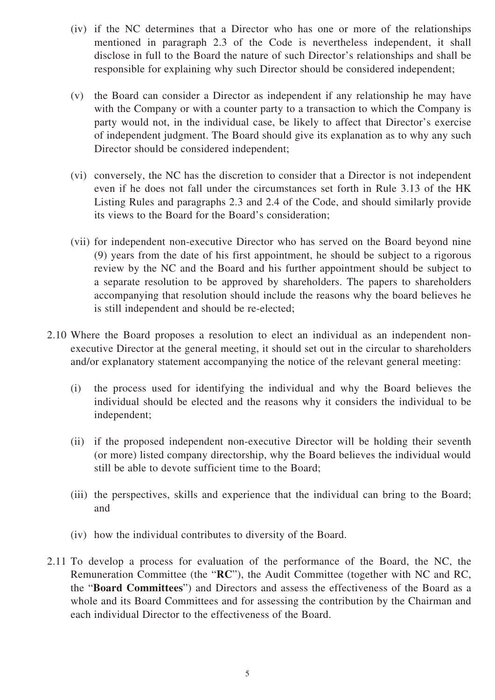- (iv) if the NC determines that a Director who has one or more of the relationships mentioned in paragraph 2.3 of the Code is nevertheless independent, it shall disclose in full to the Board the nature of such Director's relationships and shall be responsible for explaining why such Director should be considered independent;
- (v) the Board can consider a Director as independent if any relationship he may have with the Company or with a counter party to a transaction to which the Company is party would not, in the individual case, be likely to affect that Director's exercise of independent judgment. The Board should give its explanation as to why any such Director should be considered independent;
- (vi) conversely, the NC has the discretion to consider that a Director is not independent even if he does not fall under the circumstances set forth in Rule 3.13 of the HK Listing Rules and paragraphs 2.3 and 2.4 of the Code, and should similarly provide its views to the Board for the Board's consideration;
- (vii) for independent non-executive Director who has served on the Board beyond nine (9) years from the date of his first appointment, he should be subject to a rigorous review by the NC and the Board and his further appointment should be subject to a separate resolution to be approved by shareholders. The papers to shareholders accompanying that resolution should include the reasons why the board believes he is still independent and should be re-elected;
- 2.10 Where the Board proposes a resolution to elect an individual as an independent nonexecutive Director at the general meeting, it should set out in the circular to shareholders and/or explanatory statement accompanying the notice of the relevant general meeting:
	- (i) the process used for identifying the individual and why the Board believes the individual should be elected and the reasons why it considers the individual to be independent;
	- (ii) if the proposed independent non-executive Director will be holding their seventh (or more) listed company directorship, why the Board believes the individual would still be able to devote sufficient time to the Board;
	- (iii) the perspectives, skills and experience that the individual can bring to the Board; and
	- (iv) how the individual contributes to diversity of the Board.
- 2.11 To develop a process for evaluation of the performance of the Board, the NC, the Remuneration Committee (the "**RC**"), the Audit Committee (together with NC and RC, the "**Board Committees**") and Directors and assess the effectiveness of the Board as a whole and its Board Committees and for assessing the contribution by the Chairman and each individual Director to the effectiveness of the Board.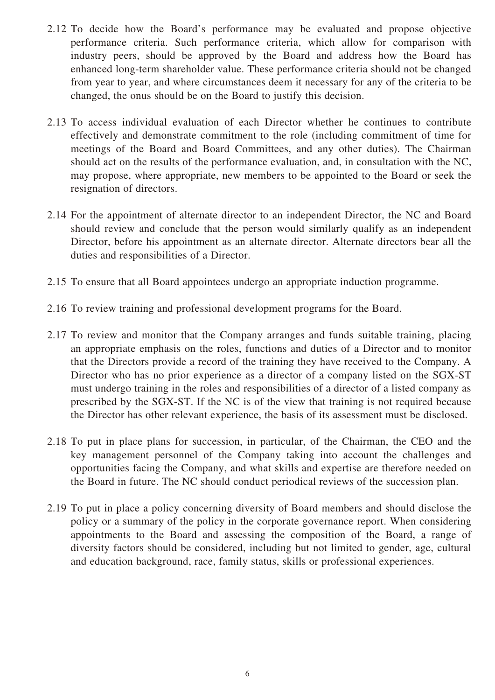- 2.12 To decide how the Board's performance may be evaluated and propose objective performance criteria. Such performance criteria, which allow for comparison with industry peers, should be approved by the Board and address how the Board has enhanced long-term shareholder value. These performance criteria should not be changed from year to year, and where circumstances deem it necessary for any of the criteria to be changed, the onus should be on the Board to justify this decision.
- 2.13 To access individual evaluation of each Director whether he continues to contribute effectively and demonstrate commitment to the role (including commitment of time for meetings of the Board and Board Committees, and any other duties). The Chairman should act on the results of the performance evaluation, and, in consultation with the NC, may propose, where appropriate, new members to be appointed to the Board or seek the resignation of directors.
- 2.14 For the appointment of alternate director to an independent Director, the NC and Board should review and conclude that the person would similarly qualify as an independent Director, before his appointment as an alternate director. Alternate directors bear all the duties and responsibilities of a Director.
- 2.15 To ensure that all Board appointees undergo an appropriate induction programme.
- 2.16 To review training and professional development programs for the Board.
- 2.17 To review and monitor that the Company arranges and funds suitable training, placing an appropriate emphasis on the roles, functions and duties of a Director and to monitor that the Directors provide a record of the training they have received to the Company. A Director who has no prior experience as a director of a company listed on the SGX-ST must undergo training in the roles and responsibilities of a director of a listed company as prescribed by the SGX-ST. If the NC is of the view that training is not required because the Director has other relevant experience, the basis of its assessment must be disclosed.
- 2.18 To put in place plans for succession, in particular, of the Chairman, the CEO and the key management personnel of the Company taking into account the challenges and opportunities facing the Company, and what skills and expertise are therefore needed on the Board in future. The NC should conduct periodical reviews of the succession plan.
- 2.19 To put in place a policy concerning diversity of Board members and should disclose the policy or a summary of the policy in the corporate governance report. When considering appointments to the Board and assessing the composition of the Board, a range of diversity factors should be considered, including but not limited to gender, age, cultural and education background, race, family status, skills or professional experiences.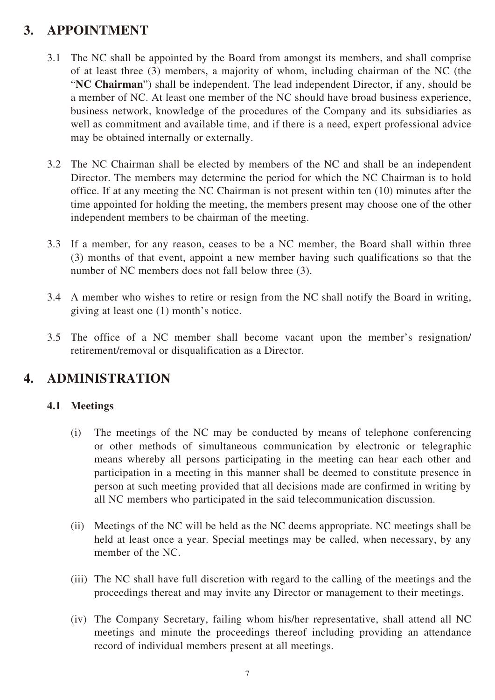### **3. APPOINTMENT**

- 3.1 The NC shall be appointed by the Board from amongst its members, and shall comprise of at least three (3) members, a majority of whom, including chairman of the NC (the "**NC Chairman**") shall be independent. The lead independent Director, if any, should be a member of NC. At least one member of the NC should have broad business experience, business network, knowledge of the procedures of the Company and its subsidiaries as well as commitment and available time, and if there is a need, expert professional advice may be obtained internally or externally.
- 3.2 The NC Chairman shall be elected by members of the NC and shall be an independent Director. The members may determine the period for which the NC Chairman is to hold office. If at any meeting the NC Chairman is not present within ten (10) minutes after the time appointed for holding the meeting, the members present may choose one of the other independent members to be chairman of the meeting.
- 3.3 If a member, for any reason, ceases to be a NC member, the Board shall within three (3) months of that event, appoint a new member having such qualifications so that the number of NC members does not fall below three (3).
- 3.4 A member who wishes to retire or resign from the NC shall notify the Board in writing, giving at least one (1) month's notice.
- 3.5 The office of a NC member shall become vacant upon the member's resignation/ retirement/removal or disqualification as a Director.

### **4. ADMINISTRATION**

#### **4.1 Meetings**

- (i) The meetings of the NC may be conducted by means of telephone conferencing or other methods of simultaneous communication by electronic or telegraphic means whereby all persons participating in the meeting can hear each other and participation in a meeting in this manner shall be deemed to constitute presence in person at such meeting provided that all decisions made are confirmed in writing by all NC members who participated in the said telecommunication discussion.
- (ii) Meetings of the NC will be held as the NC deems appropriate. NC meetings shall be held at least once a year. Special meetings may be called, when necessary, by any member of the NC.
- (iii) The NC shall have full discretion with regard to the calling of the meetings and the proceedings thereat and may invite any Director or management to their meetings.
- (iv) The Company Secretary, failing whom his/her representative, shall attend all NC meetings and minute the proceedings thereof including providing an attendance record of individual members present at all meetings.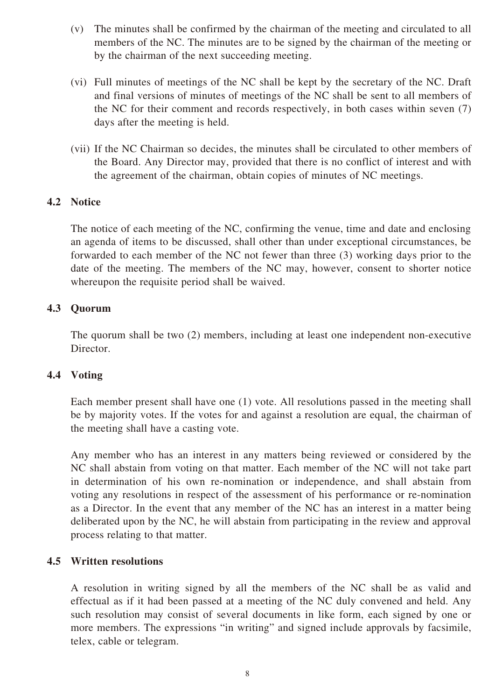- (v) The minutes shall be confirmed by the chairman of the meeting and circulated to all members of the NC. The minutes are to be signed by the chairman of the meeting or by the chairman of the next succeeding meeting.
- (vi) Full minutes of meetings of the NC shall be kept by the secretary of the NC. Draft and final versions of minutes of meetings of the NC shall be sent to all members of the NC for their comment and records respectively, in both cases within seven (7) days after the meeting is held.
- (vii) If the NC Chairman so decides, the minutes shall be circulated to other members of the Board. Any Director may, provided that there is no conflict of interest and with the agreement of the chairman, obtain copies of minutes of NC meetings.

#### **4.2 Notice**

The notice of each meeting of the NC, confirming the venue, time and date and enclosing an agenda of items to be discussed, shall other than under exceptional circumstances, be forwarded to each member of the NC not fewer than three (3) working days prior to the date of the meeting. The members of the NC may, however, consent to shorter notice whereupon the requisite period shall be waived.

#### **4.3 Quorum**

The quorum shall be two (2) members, including at least one independent non-executive Director.

#### **4.4 Voting**

Each member present shall have one (1) vote. All resolutions passed in the meeting shall be by majority votes. If the votes for and against a resolution are equal, the chairman of the meeting shall have a casting vote.

Any member who has an interest in any matters being reviewed or considered by the NC shall abstain from voting on that matter. Each member of the NC will not take part in determination of his own re-nomination or independence, and shall abstain from voting any resolutions in respect of the assessment of his performance or re-nomination as a Director. In the event that any member of the NC has an interest in a matter being deliberated upon by the NC, he will abstain from participating in the review and approval process relating to that matter.

#### **4.5 Written resolutions**

A resolution in writing signed by all the members of the NC shall be as valid and effectual as if it had been passed at a meeting of the NC duly convened and held. Any such resolution may consist of several documents in like form, each signed by one or more members. The expressions "in writing" and signed include approvals by facsimile, telex, cable or telegram.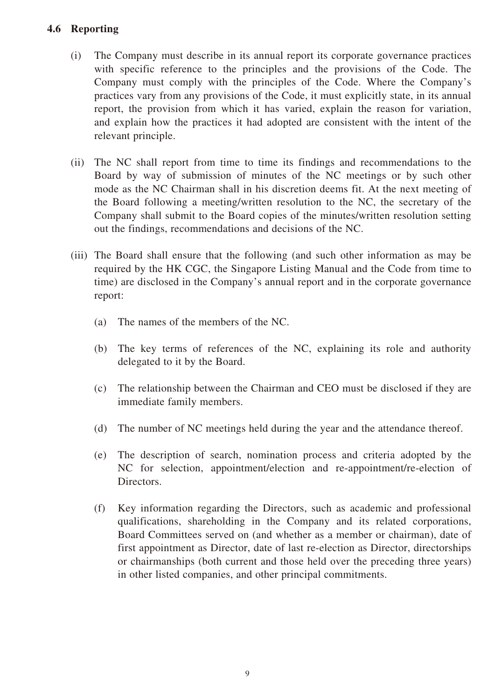#### **4.6 Reporting**

- (i) The Company must describe in its annual report its corporate governance practices with specific reference to the principles and the provisions of the Code. The Company must comply with the principles of the Code. Where the Company's practices vary from any provisions of the Code, it must explicitly state, in its annual report, the provision from which it has varied, explain the reason for variation, and explain how the practices it had adopted are consistent with the intent of the relevant principle.
- (ii) The NC shall report from time to time its findings and recommendations to the Board by way of submission of minutes of the NC meetings or by such other mode as the NC Chairman shall in his discretion deems fit. At the next meeting of the Board following a meeting/written resolution to the NC, the secretary of the Company shall submit to the Board copies of the minutes/written resolution setting out the findings, recommendations and decisions of the NC.
- (iii) The Board shall ensure that the following (and such other information as may be required by the HK CGC, the Singapore Listing Manual and the Code from time to time) are disclosed in the Company's annual report and in the corporate governance report:
	- (a) The names of the members of the NC.
	- (b) The key terms of references of the NC, explaining its role and authority delegated to it by the Board.
	- (c) The relationship between the Chairman and CEO must be disclosed if they are immediate family members.
	- (d) The number of NC meetings held during the year and the attendance thereof.
	- (e) The description of search, nomination process and criteria adopted by the NC for selection, appointment/election and re-appointment/re-election of Directors.
	- (f) Key information regarding the Directors, such as academic and professional qualifications, shareholding in the Company and its related corporations, Board Committees served on (and whether as a member or chairman), date of first appointment as Director, date of last re-election as Director, directorships or chairmanships (both current and those held over the preceding three years) in other listed companies, and other principal commitments.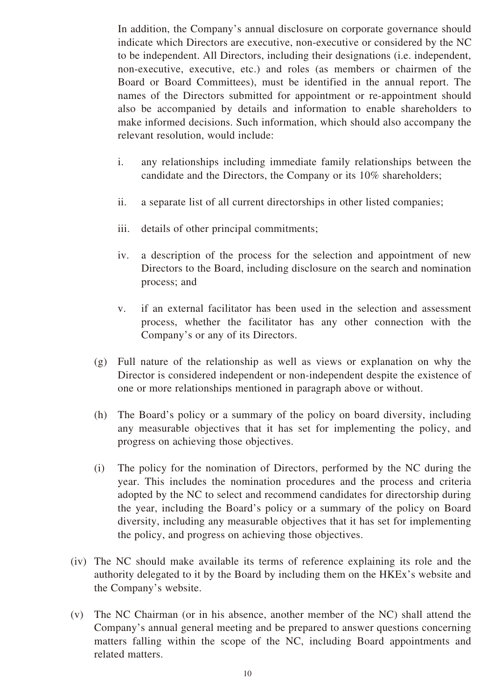In addition, the Company's annual disclosure on corporate governance should indicate which Directors are executive, non-executive or considered by the NC to be independent. All Directors, including their designations (i.e. independent, non-executive, executive, etc.) and roles (as members or chairmen of the Board or Board Committees), must be identified in the annual report. The names of the Directors submitted for appointment or re-appointment should also be accompanied by details and information to enable shareholders to make informed decisions. Such information, which should also accompany the relevant resolution, would include:

- i. any relationships including immediate family relationships between the candidate and the Directors, the Company or its 10% shareholders;
- ii. a separate list of all current directorships in other listed companies;
- iii. details of other principal commitments;
- iv. a description of the process for the selection and appointment of new Directors to the Board, including disclosure on the search and nomination process; and
- v. if an external facilitator has been used in the selection and assessment process, whether the facilitator has any other connection with the Company's or any of its Directors.
- (g) Full nature of the relationship as well as views or explanation on why the Director is considered independent or non-independent despite the existence of one or more relationships mentioned in paragraph above or without.
- (h) The Board's policy or a summary of the policy on board diversity, including any measurable objectives that it has set for implementing the policy, and progress on achieving those objectives.
- (i) The policy for the nomination of Directors, performed by the NC during the year. This includes the nomination procedures and the process and criteria adopted by the NC to select and recommend candidates for directorship during the year, including the Board's policy or a summary of the policy on Board diversity, including any measurable objectives that it has set for implementing the policy, and progress on achieving those objectives.
- (iv) The NC should make available its terms of reference explaining its role and the authority delegated to it by the Board by including them on the HKEx's website and the Company's website.
- (v) The NC Chairman (or in his absence, another member of the NC) shall attend the Company's annual general meeting and be prepared to answer questions concerning matters falling within the scope of the NC, including Board appointments and related matters.